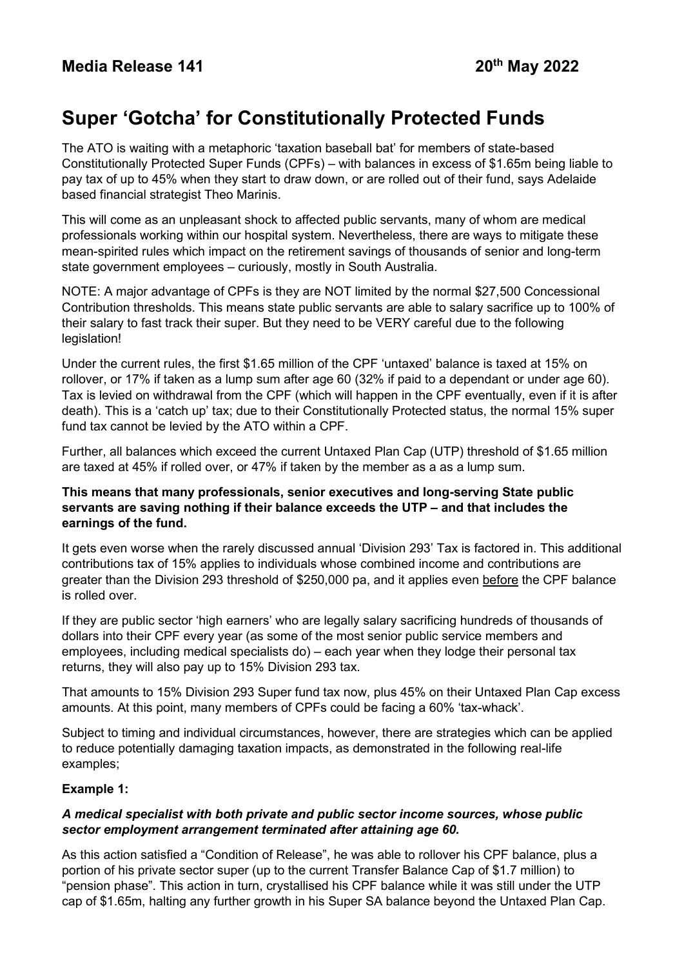# **Super 'Gotcha' for Constitutionally Protected Funds**

The ATO is waiting with a metaphoric 'taxation baseball bat' for members of state-based Constitutionally Protected Super Funds (CPFs) – with balances in excess of \$1.65m being liable to pay tax of up to 45% when they start to draw down, or are rolled out of their fund, says Adelaide based financial strategist Theo Marinis.

This will come as an unpleasant shock to affected public servants, many of whom are medical professionals working within our hospital system. Nevertheless, there are ways to mitigate these mean-spirited rules which impact on the retirement savings of thousands of senior and long-term state government employees – curiously, mostly in South Australia.

NOTE: A major advantage of CPFs is they are NOT limited by the normal \$27,500 Concessional Contribution thresholds. This means state public servants are able to salary sacrifice up to 100% of their salary to fast track their super. But they need to be VERY careful due to the following legislation!

Under the current rules, the first \$1.65 million of the CPF 'untaxed' balance is taxed at 15% on rollover, or 17% if taken as a lump sum after age 60 (32% if paid to a dependant or under age 60). Tax is levied on withdrawal from the CPF (which will happen in the CPF eventually, even if it is after death). This is a 'catch up' tax; due to their Constitutionally Protected status, the normal 15% super fund tax cannot be levied by the ATO within a CPF.

Further, all balances which exceed the current Untaxed Plan Cap (UTP) threshold of \$1.65 million are taxed at 45% if rolled over, or 47% if taken by the member as a as a lump sum.

### **This means that many professionals, senior executives and long-serving State public servants are saving nothing if their balance exceeds the UTP – and that includes the earnings of the fund.**

It gets even worse when the rarely discussed annual 'Division 293' Tax is factored in. This additional contributions tax of 15% applies to individuals whose combined income and contributions are greater than the Division 293 threshold of \$250,000 pa, and it applies even before the CPF balance is rolled over.

If they are public sector 'high earners' who are legally salary sacrificing hundreds of thousands of dollars into their CPF every year (as some of the most senior public service members and employees, including medical specialists do) – each year when they lodge their personal tax returns, they will also pay up to 15% Division 293 tax.

That amounts to 15% Division 293 Super fund tax now, plus 45% on their Untaxed Plan Cap excess amounts. At this point, many members of CPFs could be facing a 60% 'tax-whack'.

Subject to timing and individual circumstances, however, there are strategies which can be applied to reduce potentially damaging taxation impacts, as demonstrated in the following real-life examples;

# **Example 1:**

# *A medical specialist with both private and public sector income sources, whose public sector employment arrangement terminated after attaining age 60.*

As this action satisfied a "Condition of Release", he was able to rollover his CPF balance, plus a portion of his private sector super (up to the current Transfer Balance Cap of \$1.7 million) to "pension phase". This action in turn, crystallised his CPF balance while it was still under the UTP cap of \$1.65m, halting any further growth in his Super SA balance beyond the Untaxed Plan Cap.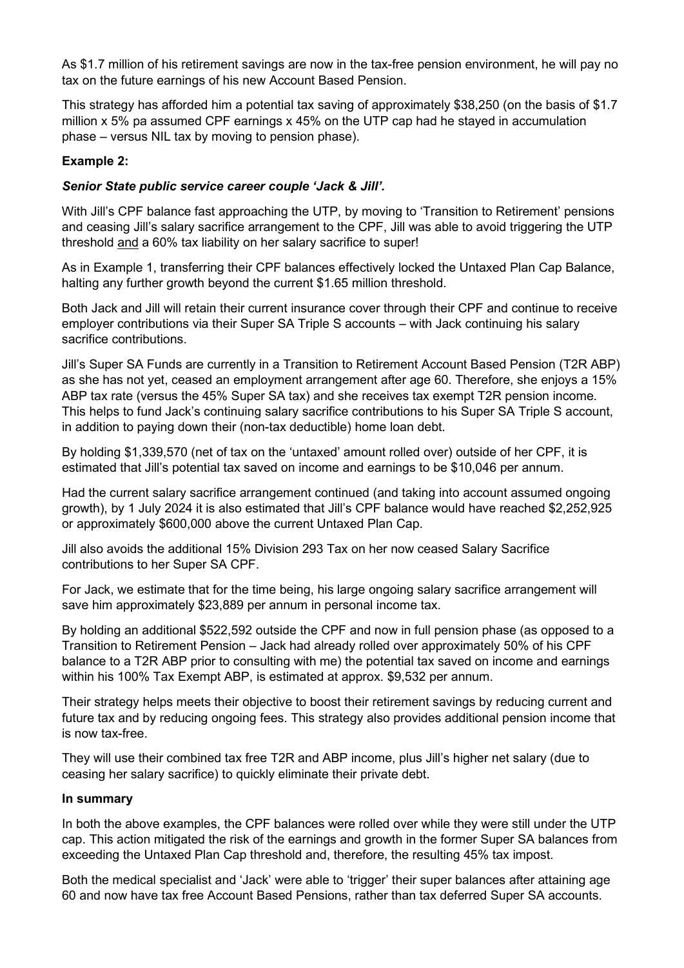As \$1.7 million of his retirement savings are now in the tax-free pension environment, he will pay no tax on the future earnings of his new Account Based Pension.

This strategy has afforded him a potential tax saving of approximately \$38,250 (on the basis of \$1.7 million x 5% pa assumed CPF earnings x 45% on the UTP cap had he stayed in accumulation phase – versus NIL tax by moving to pension phase).

### **Example 2:**

#### *Senior State public service career couple 'Jack & Jill'.*

With Jill's CPF balance fast approaching the UTP, by moving to 'Transition to Retirement' pensions and ceasing Jill's salary sacrifice arrangement to the CPF, Jill was able to avoid triggering the UTP threshold and a 60% tax liability on her salary sacrifice to super!

As in Example 1, transferring their CPF balances effectively locked the Untaxed Plan Cap Balance, halting any further growth beyond the current \$1.65 million threshold.

Both Jack and Jill will retain their current insurance cover through their CPF and continue to receive employer contributions via their Super SA Triple S accounts – with Jack continuing his salary sacrifice contributions.

Jill's Super SA Funds are currently in a Transition to Retirement Account Based Pension (T2R ABP) as she has not yet, ceased an employment arrangement after age 60. Therefore, she enjoys a 15% ABP tax rate (versus the 45% Super SA tax) and she receives tax exempt T2R pension income. This helps to fund Jack's continuing salary sacrifice contributions to his Super SA Triple S account, in addition to paying down their (non-tax deductible) home loan debt.

By holding \$1,339,570 (net of tax on the 'untaxed' amount rolled over) outside of her CPF, it is estimated that Jill's potential tax saved on income and earnings to be \$10,046 per annum.

Had the current salary sacrifice arrangement continued (and taking into account assumed ongoing growth), by 1 July 2024 it is also estimated that Jill's CPF balance would have reached \$2,252,925 or approximately \$600,000 above the current Untaxed Plan Cap.

Jill also avoids the additional 15% Division 293 Tax on her now ceased Salary Sacrifice contributions to her Super SA CPF.

For Jack, we estimate that for the time being, his large ongoing salary sacrifice arrangement will save him approximately \$23,889 per annum in personal income tax.

By holding an additional \$522,592 outside the CPF and now in full pension phase (as opposed to a Transition to Retirement Pension – Jack had already rolled over approximately 50% of his CPF balance to a T2R ABP prior to consulting with me) the potential tax saved on income and earnings within his 100% Tax Exempt ABP, is estimated at approx. \$9,532 per annum.

Their strategy helps meets their objective to boost their retirement savings by reducing current and future tax and by reducing ongoing fees. This strategy also provides additional pension income that is now tax-free.

They will use their combined tax free T2R and ABP income, plus Jill's higher net salary (due to ceasing her salary sacrifice) to quickly eliminate their private debt.

#### **In summary**

In both the above examples, the CPF balances were rolled over while they were still under the UTP cap. This action mitigated the risk of the earnings and growth in the former Super SA balances from exceeding the Untaxed Plan Cap threshold and, therefore, the resulting 45% tax impost.

Both the medical specialist and 'Jack' were able to 'trigger' their super balances after attaining age 60 and now have tax free Account Based Pensions, rather than tax deferred Super SA accounts.